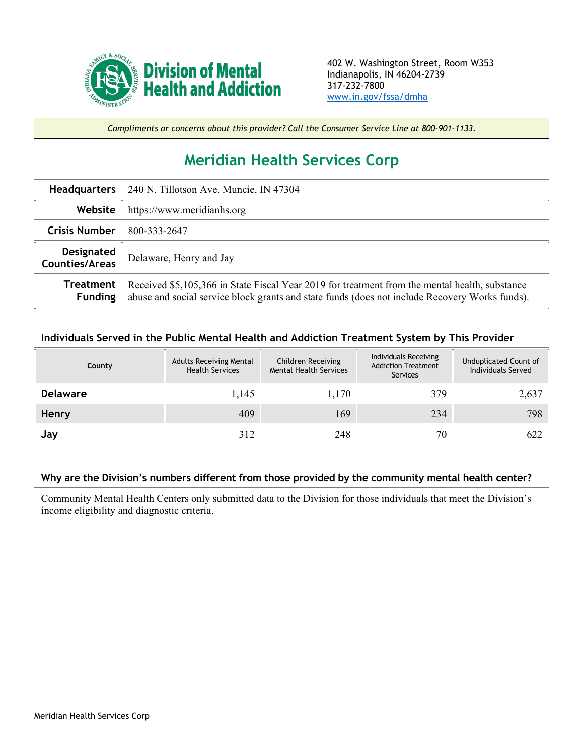

*Compliments or concerns about this provider? Call the Consumer Service Line at 800-901-1133.*

## **Meridian Health Services Corp**

|                                     | Headquarters 240 N. Tillotson Ave. Muncie, IN 47304                                                                                                                                              |  |  |
|-------------------------------------|--------------------------------------------------------------------------------------------------------------------------------------------------------------------------------------------------|--|--|
| Website                             | https://www.meridianhs.org                                                                                                                                                                       |  |  |
| Crisis Number                       | 800-333-2647                                                                                                                                                                                     |  |  |
| Designated<br><b>Counties/Areas</b> | Delaware, Henry and Jay                                                                                                                                                                          |  |  |
| Treatment<br><b>Funding</b>         | Received \$5,105,366 in State Fiscal Year 2019 for treatment from the mental health, substance<br>abuse and social service block grants and state funds (does not include Recovery Works funds). |  |  |

## **Individuals Served in the Public Mental Health and Addiction Treatment System by This Provider**

| County          | <b>Adults Receiving Mental</b><br><b>Health Services</b> | Children Receiving<br><b>Mental Health Services</b> | Individuals Receiving<br><b>Addiction Treatment</b><br>Services | Unduplicated Count of<br>Individuals Served |
|-----------------|----------------------------------------------------------|-----------------------------------------------------|-----------------------------------------------------------------|---------------------------------------------|
| <b>Delaware</b> | 1,145                                                    | 1,170                                               | 379                                                             | 2,637                                       |
| Henry           | 409                                                      | 169                                                 | 234                                                             | 798                                         |
| Jay             | 312                                                      | 248                                                 | 70                                                              | 622                                         |

## **Why are the Division's numbers different from those provided by the community mental health center?**

Community Mental Health Centers only submitted data to the Division for those individuals that meet the Division's income eligibility and diagnostic criteria.